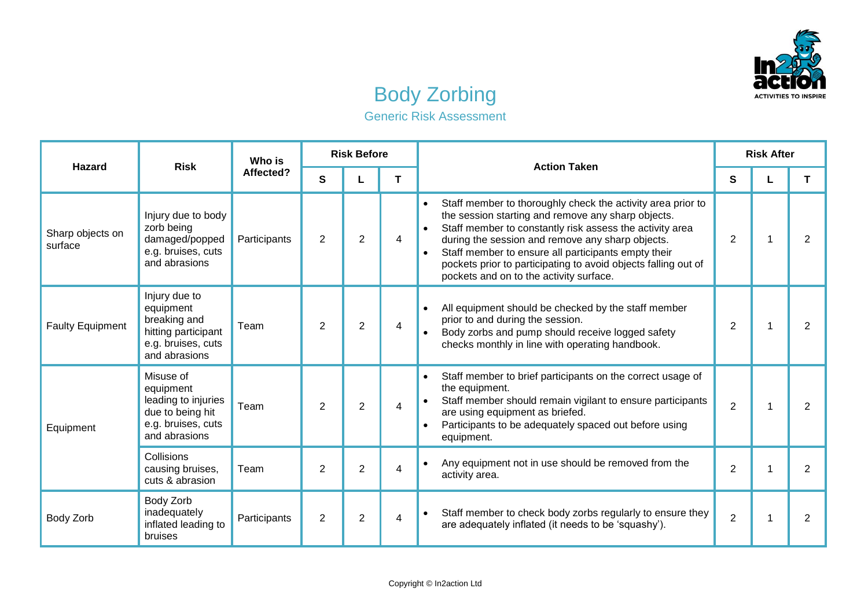

## Body Zorbing

Generic Risk Assessment

| <b>Hazard</b>               | <b>Risk</b>                                                                                              | Who is<br>Affected? | <b>Risk Before</b> |                |   | <b>Action Taken</b>                                                                                                                                                                                                                                                                                                                                                                                                             | <b>Risk After</b> |   |                |  |
|-----------------------------|----------------------------------------------------------------------------------------------------------|---------------------|--------------------|----------------|---|---------------------------------------------------------------------------------------------------------------------------------------------------------------------------------------------------------------------------------------------------------------------------------------------------------------------------------------------------------------------------------------------------------------------------------|-------------------|---|----------------|--|
|                             |                                                                                                          |                     | S                  |                | T |                                                                                                                                                                                                                                                                                                                                                                                                                                 | S                 |   | T              |  |
| Sharp objects on<br>surface | Injury due to body<br>zorb being<br>damaged/popped<br>e.g. bruises, cuts<br>and abrasions                | Participants        | 2                  | $\overline{2}$ | 4 | Staff member to thoroughly check the activity area prior to<br>$\bullet$<br>the session starting and remove any sharp objects.<br>Staff member to constantly risk assess the activity area<br>during the session and remove any sharp objects.<br>Staff member to ensure all participants empty their<br>$\bullet$<br>pockets prior to participating to avoid objects falling out of<br>pockets and on to the activity surface. | 2                 | 1 | 2              |  |
| <b>Faulty Equipment</b>     | Injury due to<br>equipment<br>breaking and<br>hitting participant<br>e.g. bruises, cuts<br>and abrasions | Team                | $\overline{2}$     | $\overline{2}$ | 4 | All equipment should be checked by the staff member<br>$\bullet$<br>prior to and during the session.<br>Body zorbs and pump should receive logged safety<br>checks monthly in line with operating handbook.                                                                                                                                                                                                                     | 2                 | 1 | 2              |  |
| Equipment                   | Misuse of<br>equipment<br>leading to injuries<br>due to being hit<br>e.g. bruises, cuts<br>and abrasions | Team                | 2                  | $\overline{2}$ | 4 | Staff member to brief participants on the correct usage of<br>$\bullet$<br>the equipment.<br>Staff member should remain vigilant to ensure participants<br>are using equipment as briefed.<br>Participants to be adequately spaced out before using<br>$\bullet$<br>equipment.                                                                                                                                                  | $\overline{2}$    | 1 | $\overline{2}$ |  |
|                             | Collisions<br>causing bruises,<br>cuts & abrasion                                                        | Team                | 2                  | $\overline{2}$ | 4 | Any equipment not in use should be removed from the<br>$\bullet$<br>activity area.                                                                                                                                                                                                                                                                                                                                              | $\overline{2}$    | 1 | $\overline{2}$ |  |
| Body Zorb                   | Body Zorb<br>inadequately<br>inflated leading to<br>bruises                                              | Participants        | $\overline{2}$     | $\overline{2}$ | 4 | Staff member to check body zorbs regularly to ensure they<br>$\bullet$<br>are adequately inflated (it needs to be 'squashy').                                                                                                                                                                                                                                                                                                   | $\overline{2}$    | 1 | 2              |  |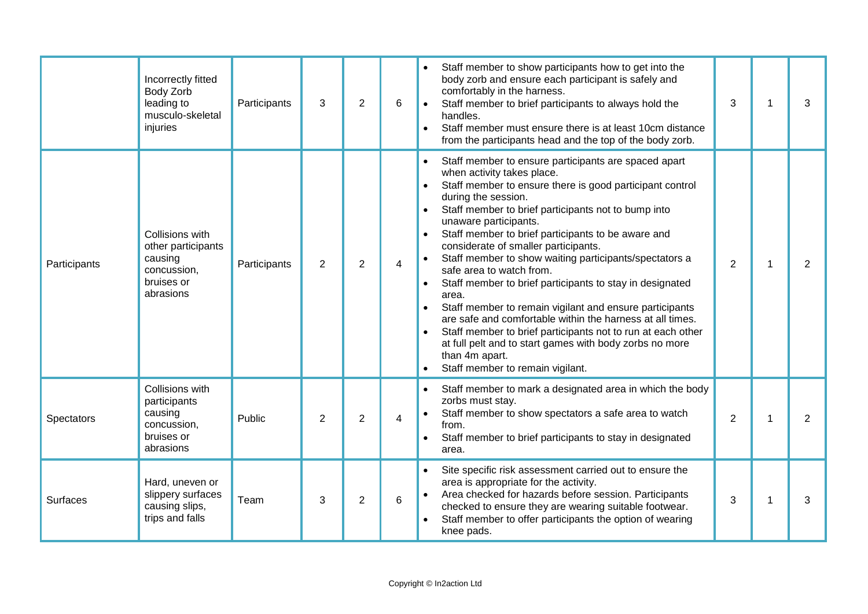|              | Incorrectly fitted<br>Body Zorb<br>leading to<br>musculo-skeletal<br>injuries              | Participants | 3 | $\overline{2}$ | 6                       | Staff member to show participants how to get into the<br>body zorb and ensure each participant is safely and<br>comfortably in the harness.<br>Staff member to brief participants to always hold the<br>3<br>handles.<br>Staff member must ensure there is at least 10cm distance<br>from the participants head and the top of the body zorb.                                                                                                                                                                                                                                                                                                                                                                                                                                                                                                                                 | 1 | 3 |
|--------------|--------------------------------------------------------------------------------------------|--------------|---|----------------|-------------------------|-------------------------------------------------------------------------------------------------------------------------------------------------------------------------------------------------------------------------------------------------------------------------------------------------------------------------------------------------------------------------------------------------------------------------------------------------------------------------------------------------------------------------------------------------------------------------------------------------------------------------------------------------------------------------------------------------------------------------------------------------------------------------------------------------------------------------------------------------------------------------------|---|---|
| Participants | Collisions with<br>other participants<br>causing<br>concussion,<br>bruises or<br>abrasions | Participants | 2 | 2              | $\overline{\mathbf{4}}$ | Staff member to ensure participants are spaced apart<br>when activity takes place.<br>Staff member to ensure there is good participant control<br>during the session.<br>Staff member to brief participants not to bump into<br>unaware participants.<br>Staff member to brief participants to be aware and<br>$\bullet$<br>considerate of smaller participants.<br>Staff member to show waiting participants/spectators a<br>$\bullet$<br>$\mathbf{2}$<br>safe area to watch from.<br>Staff member to brief participants to stay in designated<br>$\bullet$<br>area.<br>Staff member to remain vigilant and ensure participants<br>are safe and comfortable within the harness at all times.<br>Staff member to brief participants not to run at each other<br>at full pelt and to start games with body zorbs no more<br>than 4m apart.<br>Staff member to remain vigilant. | 1 | 2 |
| Spectators   | Collisions with<br>participants<br>causing<br>concussion,<br>bruises or<br>abrasions       | Public       | 2 | $\mathbf{2}$   | 4                       | Staff member to mark a designated area in which the body<br>zorbs must stay.<br>Staff member to show spectators a safe area to watch<br>$\overline{2}$<br>from.<br>Staff member to brief participants to stay in designated<br>area.                                                                                                                                                                                                                                                                                                                                                                                                                                                                                                                                                                                                                                          | 1 | 2 |
| Surfaces     | Hard, uneven or<br>slippery surfaces<br>causing slips,<br>trips and falls                  | Team         | 3 | 2              | $\,6$                   | Site specific risk assessment carried out to ensure the<br>area is appropriate for the activity.<br>Area checked for hazards before session. Participants<br>3<br>checked to ensure they are wearing suitable footwear.<br>Staff member to offer participants the option of wearing<br>knee pads.                                                                                                                                                                                                                                                                                                                                                                                                                                                                                                                                                                             | 1 | 3 |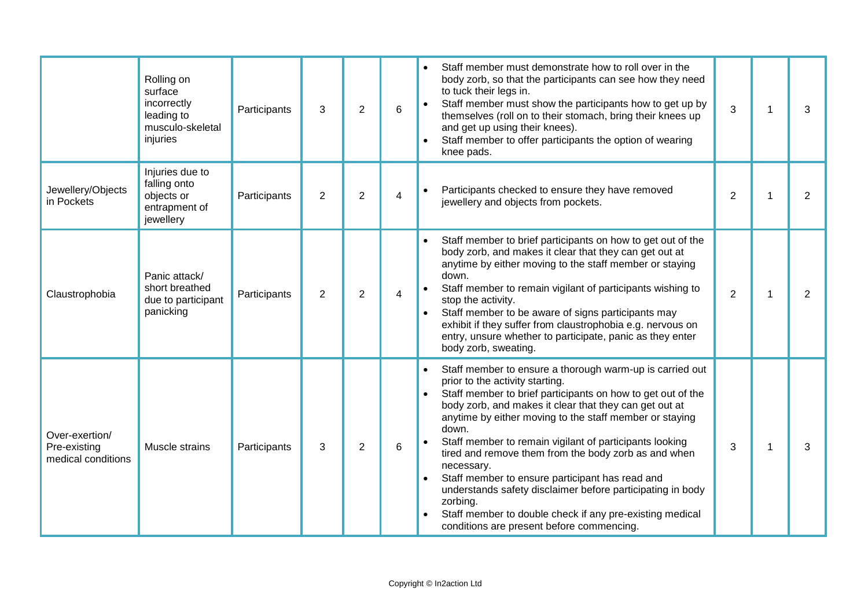|                                                      | Rolling on<br>surface<br>incorrectly<br>leading to<br>musculo-skeletal<br>injuries | Participants | 3              | $\overline{2}$ | 6              | Staff member must demonstrate how to roll over in the<br>body zorb, so that the participants can see how they need<br>to tuck their legs in.<br>Staff member must show the participants how to get up by<br>themselves (roll on to their stomach, bring their knees up<br>and get up using their knees).<br>Staff member to offer participants the option of wearing<br>knee pads.                                                                                                                                                                                                                                                                                           | 3              |   | 3              |
|------------------------------------------------------|------------------------------------------------------------------------------------|--------------|----------------|----------------|----------------|------------------------------------------------------------------------------------------------------------------------------------------------------------------------------------------------------------------------------------------------------------------------------------------------------------------------------------------------------------------------------------------------------------------------------------------------------------------------------------------------------------------------------------------------------------------------------------------------------------------------------------------------------------------------------|----------------|---|----------------|
| Jewellery/Objects<br>in Pockets                      | Injuries due to<br>falling onto<br>objects or<br>entrapment of<br>jewellery        | Participants | $\overline{2}$ | $\overline{2}$ | 4              | Participants checked to ensure they have removed<br>jewellery and objects from pockets.                                                                                                                                                                                                                                                                                                                                                                                                                                                                                                                                                                                      | $\overline{2}$ |   | $\overline{2}$ |
| Claustrophobia                                       | Panic attack/<br>short breathed<br>due to participant<br>panicking                 | Participants | 2              | $\overline{2}$ | $\overline{4}$ | Staff member to brief participants on how to get out of the<br>body zorb, and makes it clear that they can get out at<br>anytime by either moving to the staff member or staying<br>down.<br>Staff member to remain vigilant of participants wishing to<br>stop the activity.<br>Staff member to be aware of signs participants may<br>exhibit if they suffer from claustrophobia e.g. nervous on<br>entry, unsure whether to participate, panic as they enter<br>body zorb, sweating.                                                                                                                                                                                       | $\overline{2}$ | 1 | $\overline{2}$ |
| Over-exertion/<br>Pre-existing<br>medical conditions | Muscle strains                                                                     | Participants | 3              | $\overline{2}$ | 6              | Staff member to ensure a thorough warm-up is carried out<br>prior to the activity starting.<br>Staff member to brief participants on how to get out of the<br>body zorb, and makes it clear that they can get out at<br>anytime by either moving to the staff member or staying<br>down.<br>Staff member to remain vigilant of participants looking<br>tired and remove them from the body zorb as and when<br>necessary.<br>Staff member to ensure participant has read and<br>understands safety disclaimer before participating in body<br>zorbing.<br>Staff member to double check if any pre-existing medical<br>$\bullet$<br>conditions are present before commencing. | 3              | 1 | 3              |